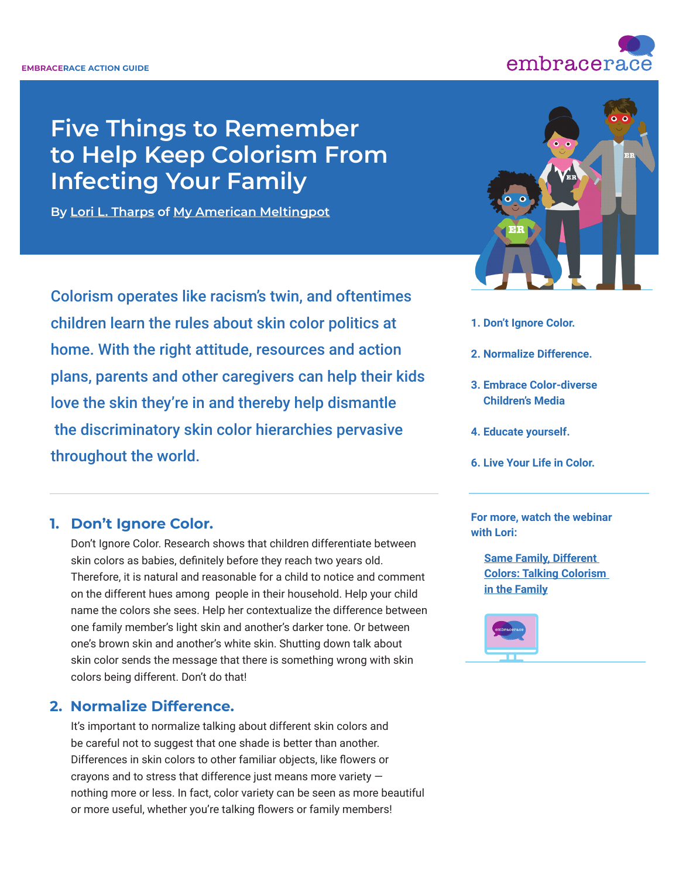

# **Five Things to Remember to Help Keep Colorism From Infecting Your Family**

**By [Lori L. Tharps](https://www.loriltharps.com/) of [My American Meltingpot](https://myamericanmeltingpot.com/)** 

Colorism operates like racism's twin, and oftentimes children learn the rules about skin color politics at home. With the right attitude, resources and action plans, parents and other caregivers can help their kids love the skin they're in and thereby help dismantle the discriminatory skin color hierarchies pervasive throughout the world.



- **1. Don't Ignore Color.**
- **2. Normalize Difference.**
- **3. Embrace Color-diverse Children's Media**
- **4. Educate yourself.**
- **6. Live Your Life in Color.**

# **1. Don't Ignore Color.**

 Don't Ignore Color. Research shows that children differentiate between skin colors as babies, definitely before they reach two years old. Therefore, it is natural and reasonable for a child to notice and comment on the different hues among people in their household. Help your child name the colors she sees. Help her contextualize the difference between one family member's light skin and another's darker tone. Or between one's brown skin and another's white skin. Shutting down talk about skin color sends the message that there is something wrong with skin colors being different. Don't do that!

# **2. Normalize Difference.**

 It's important to normalize talking about different skin colors and be careful not to suggest that one shade is better than another. Differences in skin colors to other familiar objects, like flowers or crayons and to stress that difference just means more variety nothing more or less. In fact, color variety can be seen as more beautiful or more useful, whether you're talking flowers or family members!

#### **For more, watch the webinar with Lori:**

**Same Family, Different [Colors: Talking Colorism](https://www.embracerace.org/resources/same-family-different-colors-talking-colorism-in-the-family)  [in the Family](https://www.embracerace.org/resources/same-family-different-colors-talking-colorism-in-the-family)**